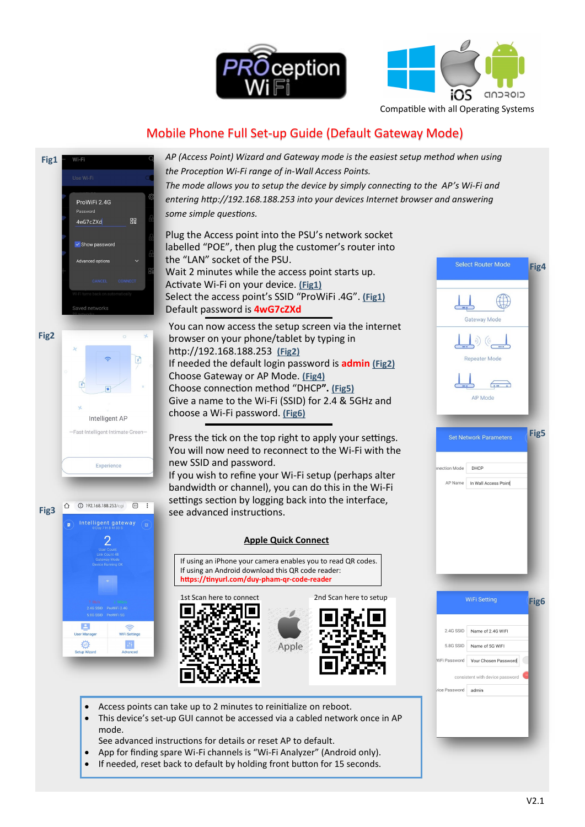



Compatible with all Operating Systems

# Mobile Phone Full Set-up Guide (Default Gateway Mode)



mode.

*AP (Access Point) Wizard and Gateway mode is the easiest setup method when using the Proception Wi-Fi range of in-Wall Access Points. The mode allows you to setup the device by simply connecting to the AP's Wi-Fi and entering http://192.168.188.253 into your devices Internet browser and answering some simple questions.*

Plug the Access point into the PSU's network socket labelled "POE", then plug the customer's router into the "LAN" socket of the PSU. Wait 2 minutes while the access point starts up. Activate Wi-Fi on your device. **(Fig1)** Select the access point's SSID "ProWiFi .4G". **(Fig1)** Default password is **4wG7cZXd**

You can now access the setup screen via the internet browser on your phone/tablet by typing in http://192.168.188.253 **(Fig2)** If needed the default login password is **admin (Fig2)** Choose Gateway or AP Mode. **(Fig4)** Choose connection method "DHCP**". (Fig5)** Give a name to the Wi-Fi (SSID) for 2.4 & 5GHz and choose a Wi-Fi password. **(Fig6)**

Press the tick on the top right to apply your settings. You will now need to reconnect to the Wi-Fi with the new SSID and password.

If you wish to refine your Wi-Fi setup (perhaps alter bandwidth or channel), you can do this in the Wi-Fi settings section by logging back into the interface, see advanced instructions.

### **Apple Quick Connect**

If using an iPhone your camera enables you to read QR codes. If using an Android download this QR code reader: **https://tinyurl.com/duy-pham-qr-code-reader** 



• Access points can take up to 2 minutes to reinitialize on reboot.

See advanced instructions for details or reset AP to default.

This device's set-up GUI cannot be accessed via a cabled network once in AP

• App for finding spare Wi-Fi channels is "Wi-Fi Analyzer" (Android only). If needed, reset back to default by holding front button for 15 seconds.

Gateway Mod Repeater Mode AP Mode **Fig5** Set Network Parameters ction Mode DHCP AP Name In Wall Access Point WiFi Setting **Fig6**  $2.46$  SSID Name of 2.4G WIFI 5.8G SSID Name of 5G WIFI WiFi Password Your Chosen Password consistent with device password ice Password admin

Select Router Mode

**Fig4**